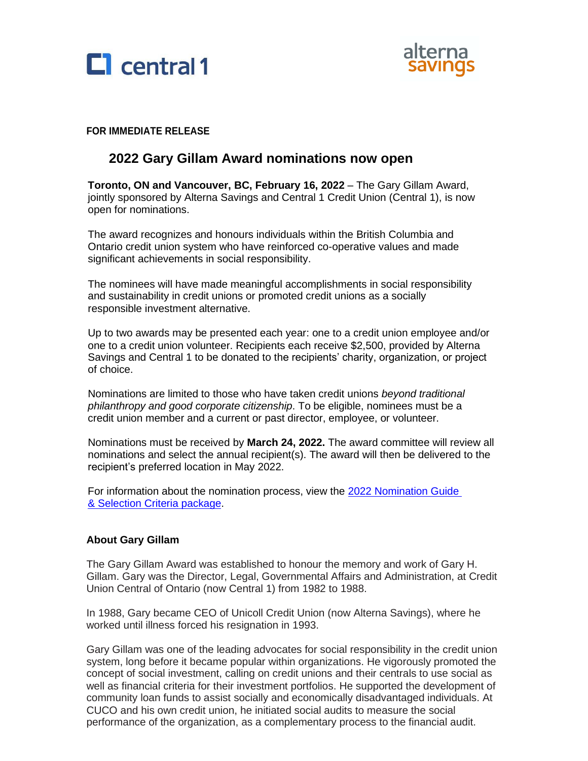



### **FOR IMMEDIATE RELEASE**

# **2022 Gary Gillam Award nominations now open**

**Toronto, ON and Vancouver, BC, February 16, 2022** – The Gary Gillam Award, jointly sponsored by Alterna Savings and Central 1 Credit Union (Central 1), is now open for nominations.

The award recognizes and honours individuals within the British Columbia and Ontario credit union system who have reinforced co-operative values and made significant achievements in social responsibility.

The nominees will have made meaningful accomplishments in social responsibility and sustainability in credit unions or promoted credit unions as a socially responsible investment alternative.

Up to two awards may be presented each year: one to a credit union employee and/or one to a credit union volunteer. Recipients each receive \$2,500, provided by Alterna Savings and Central 1 to be donated to the recipients' charity, organization, or project of choice.

Nominations are limited to those who have taken credit unions *beyond traditional philanthropy and good corporate citizenship*. To be eligible, nominees must be a credit union member and a current or past director, employee, or volunteer.

Nominations must be received by **March 24, 2022.** The award committee will review all nominations and select the annual recipient(s). The award will then be delivered to the recipient's preferred location in May 2022.

For information about the nomination process, view the 2022 Nomination Guide [& Selection Criteria package.](https://www.central1.com/awards-and-scholarships/)

#### **About Gary Gillam**

 The Gary Gillam Award was established to honour the memory and work of Gary H. Gillam. Gary was the Director, Legal, Governmental Affairs and Administration, at Credit Union Central of Ontario (now Central 1) from 1982 to 1988.

 In 1988, Gary became CEO of Unicoll Credit Union (now Alterna Savings), where he worked until illness forced his resignation in 1993.

 Gary Gillam was one of the leading advocates for social responsibility in the credit union system, long before it became popular within organizations. He vigorously promoted the concept of social investment, calling on credit unions and their centrals to use social as well as financial criteria for their investment portfolios. He supported the development of community loan funds to assist socially and economically disadvantaged individuals. At CUCO and his own credit union, he initiated social audits to measure the social performance of the organization, as a complementary process to the financial audit.